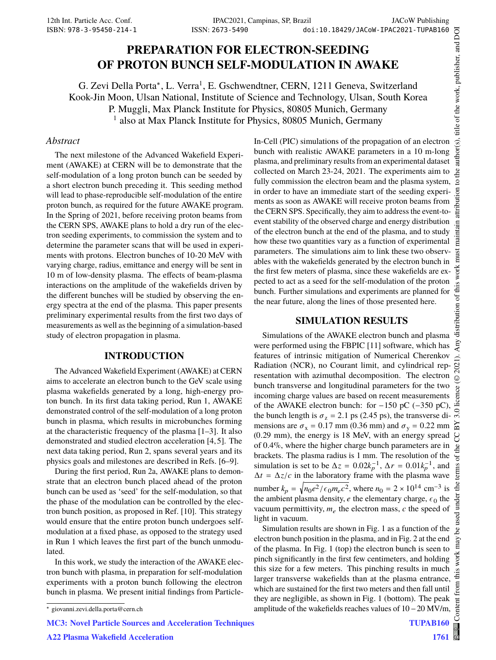# **PREPARATION FOR ELECTRON-SEEDING OF PROTON BUNCH SELF-MODULATION IN AWAKE**

G. Zevi Della Porta\*, L. Verra<sup>1</sup>, E. Gschwendtner, CERN, 1211 Geneva, Switzerland Kook-Jin Moon, Ulsan National, Institute of Science and Technology, Ulsan, South Korea P. Muggli, Max Planck Institute for Physics, 80805 Munich, Germany 1 also at Max Planck Institute for Physics, 80805 Munich, Germany

#### *Abstract*

The next milestone of the Advanced Wakefield Experiment (AWAKE) at CERN will be to demonstrate that the self-modulation of a long proton bunch can be seeded by a short electron bunch preceding it. This seeding method will lead to phase-reproducible self-modulation of the entire proton bunch, as required for the future AWAKE program. In the Spring of 2021, before receiving proton beams from the CERN SPS, AWAKE plans to hold a dry run of the electron seeding experiments, to commission the system and to determine the parameter scans that will be used in experiments with protons. Electron bunches of 10-20 MeV with varying charge, radius, emittance and energy will be sent in 10 m of low-density plasma. The effects of beam-plasma interactions on the amplitude of the wakefields driven by the different bunches will be studied by observing the energy spectra at the end of the plasma. This paper presents preliminary experimental results from the first two days of measurements as well as the beginning of a simulation-based study of electron propagation in plasma.

#### **INTRODUCTION**

The Advanced Wakefield Experiment (AWAKE) at CERN aims to accelerate an electron bunch to the GeV scale using plasma wakefields generated by a long, high-energy proton bunch. In its first data taking period, Run 1, AWAKE demonstrated control of the self-modulation of a long proton bunch in plasma, which results in microbunches forming at the characteristic frequency of the plasma [1–3]. It also demonstrated and studied electron acceleration [4, 5]. The next data taking period, Run 2, spans several years and its physics goals and milestones are described in Refs. [6–9].

During the first period, Run 2a, AWAKE plans to demonstrate that an electron bunch placed ahead of the proton bunch can be used as 'seed' for the self-modulation, so that the phase of the modulation can be controlled by the electron bunch position, as proposed in Ref. [10]. This strategy would ensure that the entire proton bunch undergoes selfmodulation at a fixed phase, as opposed to the strategy used in Run 1 which leaves the first part of the bunch unmodulated.

In this work, we study the interaction of the AWAKE electron bunch with plasma, in preparation for self-modulation experiments with a proton bunch following the electron bunch in plasma. We present initial findings from Particle-

#### **SIMULATION RESULTS**

Simulations of the AWAKE electron bunch and plasma were performed using the FBPIC [11] software, which has features of intrinsic mitigation of Numerical Cherenkov Radiation (NCR), no Courant limit, and cylindrical representation with azimuthal decomposition. The electron bunch transverse and longitudinal parameters for the two incoming charge values are based on recent measurements of the AWAKE electron bunch: for  $-150$  pC ( $-350$  pC), the bunch length is  $\sigma_z = 2.1$  ps (2.45 ps), the transverse dimensions are  $\sigma_x = 0.17$  mm (0.36 mm) and  $\sigma_y = 0.22$  mm (0.29 mm), the energy is 18 MeV, with an energy spread of 0.4%, where the higher charge bunch parameters are in brackets. The plasma radius is 1 mm. The resolution of the simulation is set to be  $\Delta z = 0.02k_p^{-1}$ ,  $\Delta r = 0.01k_p^{-1}$ , and  $\Delta t = \Delta z/c$  in the laboratory frame with the plasma wave number  $k_p = \sqrt{n_0 e^2/\epsilon_0 m_e c^2}$ , where  $n_0 = 2 \times 10^{14} \text{ cm}^{-3}$  is the ambient plasma density,  $e$  the elementary charge,  $\epsilon_0$  the vacuum permittivity,  $m_e$  the electron mass,  $c$  the speed of light in vacuum.

Simulation results are shown in Fig. 1 as a function of the electron bunch position in the plasma, and in Fig. 2 at the end of the plasma. In Fig. 1 (top) the electron bunch is seen to pinch significantly in the first few centimeters, and holding this size for a few meters. This pinching results in much larger transverse wakefields than at the plasma entrance, which are sustained for the first two meters and then fall until they are negligible, as shown in Fig. 1 (bottom). The peak amplitude of the wakefields reaches values of 10−20 MV/m,

MC3: Novel Particle Sources and Acceleration Techniques

A22 Plasma Wakefield Acceleration

In-Cell (PIC) simulations of the propagation of an electron bunch with realistic AWAKE parameters in a 10 m-long plasma, and preliminary results from an experimental dataset collected on March 23-24, 2021. The experiments aim to fully commission the electron beam and the plasma system, in order to have an immediate start of the seeding experiments as soon as AWAKE will receive proton beams from the CERN SPS. Specifically, they aim to address the event-toevent stability of the observed charge and energy distribution of the electron bunch at the end of the plasma, and to study how these two quantities vary as a function of experimental parameters. The simulations aim to link these two observables with the wakefields generated by the electron bunch in the first few meters of plasma, since these wakefields are expected to act as a seed for the self-modulation of the proton bunch. Further simulations and experiments are planned for the near future, along the lines of those presented here.

<sup>∗</sup> giovanni.zevi.della.porta@cern.ch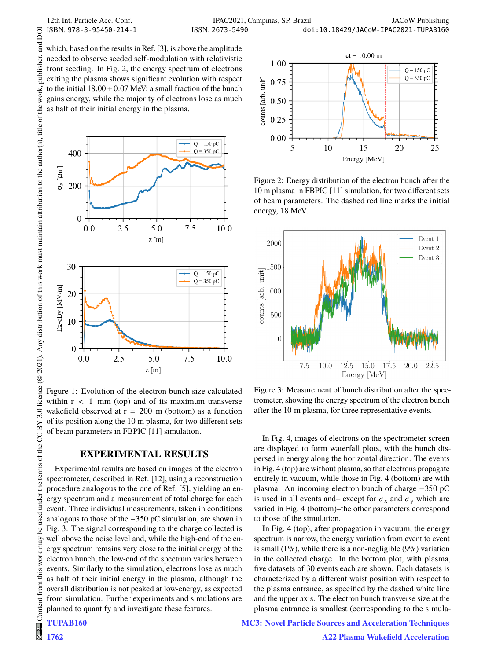and DOI

publisher.

which, based on the results in Ref. [3], is above the amplitude needed to observe seeded self-modulation with relativistic front seeding. In Fig. 2, the energy spectrum of electrons exiting the plasma shows significant evolution with respect to the initial  $18.00 \pm 0.07$  MeV: a small fraction of the bunch gains energy, while the majority of electrons lose as much as half of their initial energy in the plasma.



Figure 1: Evolution of the electron bunch size calculated within  $r < 1$  mm (top) and of its maximum transverse wakefield observed at  $r = 200$  m (bottom) as a function of its position along the 10 m plasma, for two different sets of beam parameters in FBPIC [11] simulation.

## **EXPERIMENTAL RESULTS**

Experimental results are based on images of the electron spectrometer, described in Ref. [12], using a reconstruction procedure analogous to the one of Ref. [5], yielding an energy spectrum and a measurement of total charge for each event. Three individual measurements, taken in conditions analogous to those of the −350 pC simulation, are shown in Fig. 3. The signal corresponding to the charge collected is well above the noise level and, while the high-end of the energy spectrum remains very close to the initial energy of the electron bunch, the low-end of the spectrum varies between events. Similarly to the simulation, electrons lose as much as half of their initial energy in the plasma, although the overall distribution is not peaked at low-energy, as expected from simulation. Further experiments and simulations are planned to quantify and investigate these features.

$$
\begin{array}{c}\n\stackrel{\text{1}}{2} \\
\stackrel{\text{1}}{6} \\
\stackrel{\text{2}}{6} \\
\stackrel{\text{3}}{6} \\
\stackrel{\text{3}}{6} \\
\stackrel{\text{4}}{6} \\
\stackrel{\text{5}}{6} \\
\stackrel{\text{5}}{6} \\
\stackrel{\text{5}}{6} \\
\stackrel{\text{6}}{6} \\
\stackrel{\text{5}}{6} \\
\stackrel{\text{6}}{6} \\
\stackrel{\text{6}}{6} \\
\stackrel{\text{6}}{6} \\
\stackrel{\text{6}}{6} \\
\stackrel{\text{6}}{6} \\
\stackrel{\text{6}}{6} \\
\stackrel{\text{6}}{6} \\
\stackrel{\text{6}}{6} \\
\stackrel{\text{6}}{6} \\
\stackrel{\text{6}}{6} \\
\stackrel{\text{6}}{6} \\
\stackrel{\text{6}}{6} \\
\stackrel{\text{6}}{6} \\
\stackrel{\text{6}}{6} \\
\stackrel{\text{6}}{6} \\
\stackrel{\text{6}}{6} \\
\stackrel{\text{6}}{6} \\
\stackrel{\text{6}}{6} \\
\stackrel{\text{6}}{6} \\
\stackrel{\text{6}}{6} \\
\stackrel{\text{6}}{6} \\
\stackrel{\text{6}}{6} \\
\stackrel{\text{6}}{6} \\
\stackrel{\text{6}}{6} \\
\stackrel{\text{6}}{6} \\
\stackrel{\text{6}}{6} \\
\stackrel{\text{6}}{6} \\
\stackrel{\text{6}}{6} \\
\stackrel{\text{6}}{6} \\
\stackrel{\text{6}}{6} \\
\stackrel{\text{6}}{6} \\
\stackrel{\text{6}}{6} \\
\stackrel{\text{6}}{6} \\
\stackrel{\text{6}}{6} \\
\stackrel{\text{6}}{6} \\
\stackrel{\text{6}}{6} \\
\stackrel{\text{6}}{6} \\
\stackrel{\text{6}}{6} \\
\stackrel{\text{6}}{6} \\
\stackrel{\text{6}}{6} \\
\stackrel{\text{6}}{6} \\
\stackrel{\text{6}}{6} \\
\stackrel{\text{6}}{6} \\
\stackrel{\text{6}}{6} \\
\stackrel{\text{6}}{6} \\
\stackrel{\text{6}}{6} \\
\stackrel{\text{6}}{6} \\
\stackrel{\text{6}}{6} \\
\stackrel{\text{6}}{6} \\
\stackrel{\text{6}}{6} \\
\stackrel{\text{6}}{6} \\
\stackrel{\text{6}}
$$

 $\begin{matrix} 6 \ \end{matrix}$ 1762

terms of the CC BY

under the

be used

this work may

from t



Figure 2: Energy distribution of the electron bunch after the 10 m plasma in FBPIC [11] simulation, for two different sets of beam parameters. The dashed red line marks the initial energy, 18 MeV.



Figure 3: Measurement of bunch distribution after the spectrometer, showing the energy spectrum of the electron bunch after the 10 m plasma, for three representative events.

In Fig. 4, images of electrons on the spectrometer screen are displayed to form waterfall plots, with the bunch dispersed in energy along the horizontal direction. The events in Fig. 4 (top) are without plasma, so that electrons propagate entirely in vacuum, while those in Fig. 4 (bottom) are with plasma. An incoming electron bunch of charge −350 pC is used in all events and– except for  $\sigma_x$  and  $\sigma_y$  which are varied in Fig. 4 (bottom)–the other parameters correspond to those of the simulation.

In Fig. 4 (top), after propagation in vacuum, the energy spectrum is narrow, the energy variation from event to event is small  $(1\%)$ , while there is a non-negligible  $(9\%)$  variation in the collected charge. In the bottom plot, with plasma, five datasets of 30 events each are shown. Each datasets is characterized by a different waist position with respect to the plasma entrance, as specified by the dashed white line and the upper axis. The electron bunch transverse size at the plasma entrance is smallest (corresponding to the simula-

## MC3: Novel Particle Sources and Acceleration Techniques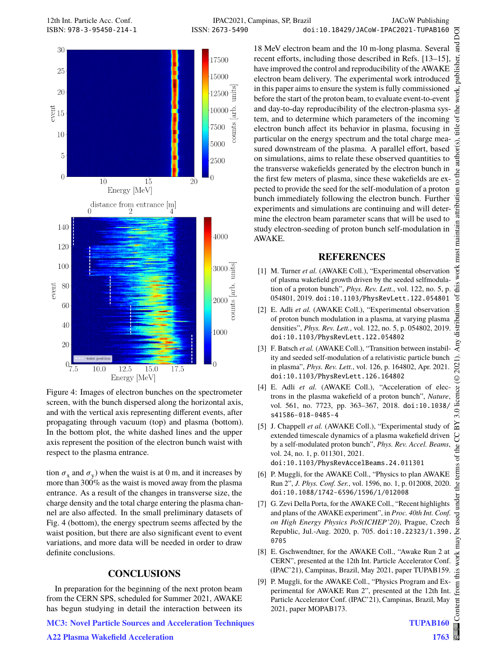



Figure 4: Images of electron bunches on the spectrometer screen, with the bunch dispersed along the horizontal axis, and with the vertical axis representing different events, after propagating through vacuum (top) and plasma (bottom). In the bottom plot, the white dashed lines and the upper axis represent the position of the electron bunch waist with respect to the plasma entrance.

tion  $\sigma_x$  and  $\sigma_y$ ) when the waist is at 0 m, and it increases by more than 300% as the waist is moved away from the plasma entrance. As a result of the changes in transverse size, the charge density and the total charge entering the plasma channel are also affected. In the small preliminary datasets of Fig. 4 (bottom), the energy spectrum seems affected by the waist position, but there are also significant event to event variations, and more data will be needed in order to draw definite conclusions.

#### **CONCLUSIONS**

In preparation for the beginning of the next proton beam from the CERN SPS, scheduled for Summer 2021, AWAKE has begun studying in detail the interaction between its

MC3: Novel Particle Sources and Acceleration Techniques

<sub>and</sub> 18 MeV electron beam and the 10 m-long plasma. Several ier. recent efforts, including those described in Refs. [13–15], ंड have improved the control and reproducibility of the AWAKE electron beam delivery. The experimental work introduced in this paper aims to ensure the system is fully commissioned work. before the start of the proton beam, to evaluate event-to-event and day-to-day reproducibility of the electron-plasma system, and to determine which parameters of the incoming electron bunch affect its behavior in plasma, focusing in particular on the energy spectrum and the total charge measured downstream of the plasma. A parallel effort, based on simulations, aims to relate these observed quantities to the transverse wakefields generated by the electron bunch in the first few meters of plasma, since these wakefields are expected to provide the seed for the self-modulation of a proton bunch immediately following the electron bunch. Further experiments and simulations are continuing and will determine the electron beam parameter scans that will be used to study electron-seeding of proton bunch self-modulation in AWAKE.

#### **REFERENCES**

- [1] M. Turner *et al.* (AWAKE Coll.), "Experimental observation of plasma wakefield growth driven by the seeded selfmodulation of a proton bunch", *Phys. Rev. Lett.*, vol. 122, no. 5, p. 054801, 2019. doi:10.1103/PhysRevLett.122.054801
- [2] E. Adli et al. (AWAKE Coll.), "Experimental observation of proton bunch modulation in a plasma, at varying plasma densities", *Phys. Rev. Lett.*, vol. 122, no. 5, p. 054802, 2019. doi:10.1103/PhysRevLett.122.054802
- [3] F. Batsch et al. (AWAKE Coll.), "Transition between instability and seeded self-modulation of a relativistic particle bunch in plasma", *Phys. Rev. Lett.*, vol. 126, p. 164802, Apr. 2021. doi:10.1103/PhysRevLett.126.164802
- [4] E. Adli *et al.* (AWAKE Coll.), "Acceleration of electrons in the plasma wakefield of a proton bunch", *Nature*, vol. 561, no. 7723, pp. 363–367, 2018. doi:10.1038/ s41586-018-0485-4
- [5] J. Chappell et al. (AWAKE Coll.), "Experimental study of extended timescale dynamics of a plasma wakefield driven by a self-modulated proton bunch", *Phys. Rev. Accel. Beams*, vol. 24, no. 1, p. 011301, 2021. doi:10.1103/PhysRevAccelBeams.24.011301
- [6] P. Muggli, for the AWAKE Coll., "Physics to plan AWAKE Run 2", *J. Phys. Conf. Ser.*, vol. 1596, no. 1, p. 012008, 2020. doi:10.1088/1742-6596/1596/1/012008
- [7] G. Zevi Della Porta, for the AWAKE Coll., "Recent highlights and plans of the AWAKE experiment", in *Proc. 40th Int. Conf. on High Energy Physics PoS(ICHEP'20)*, Prague, Czech Republic, Jul.-Aug. 2020, p. 705. doi:10.22323/1.390. 0705
- [8] E. Gschwendtner, for the AWAKE Coll., "Awake Run 2 at CERN", presented at the 12th Int. Particle Accelerator Conf. (IPAC'21), Campinas, Brazil, May 2021, paper TUPAB159.
- [9] P. Muggli, for the AWAKE Coll., "Physics Program and Experimental for AWAKE Run 2", presented at the 12th Int. Particle Accelerator Conf. (IPAC'21), Campinas, Brazil, May 2021, paper MOPAB173.

publ